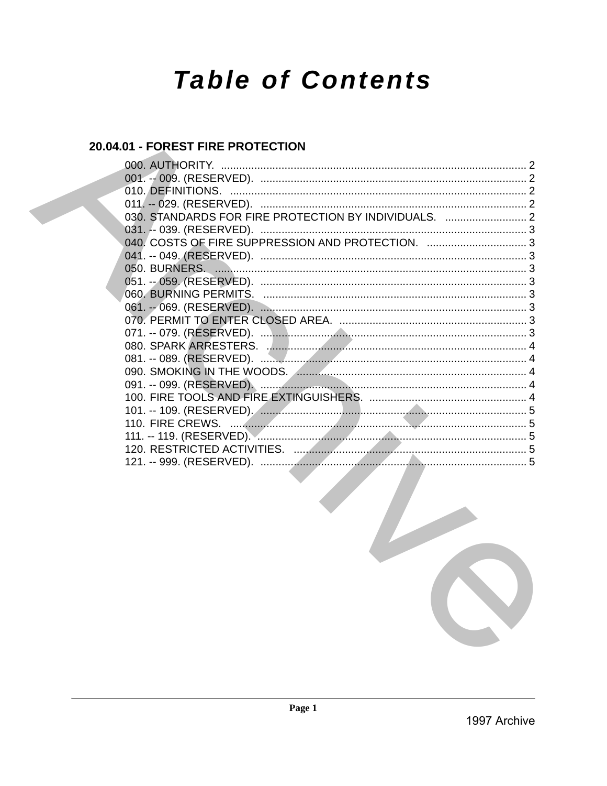# **Table of Contents**

# 20.04.01 - FOREST FIRE PROTECTION

| 000. AUTHORITY.                                       |  |
|-------------------------------------------------------|--|
|                                                       |  |
|                                                       |  |
|                                                       |  |
| 030. STANDARDS FOR FIRE PROTECTION BY INDIVIDUALS.  2 |  |
| 031. -- 039. (RESERVED).                              |  |
| 040. COSTS OF FIRE SUPPRESSION AND PROTECTION.  3     |  |
|                                                       |  |
|                                                       |  |
|                                                       |  |
|                                                       |  |
|                                                       |  |
|                                                       |  |
|                                                       |  |
|                                                       |  |
|                                                       |  |
|                                                       |  |
|                                                       |  |
|                                                       |  |
|                                                       |  |
|                                                       |  |
|                                                       |  |
|                                                       |  |
|                                                       |  |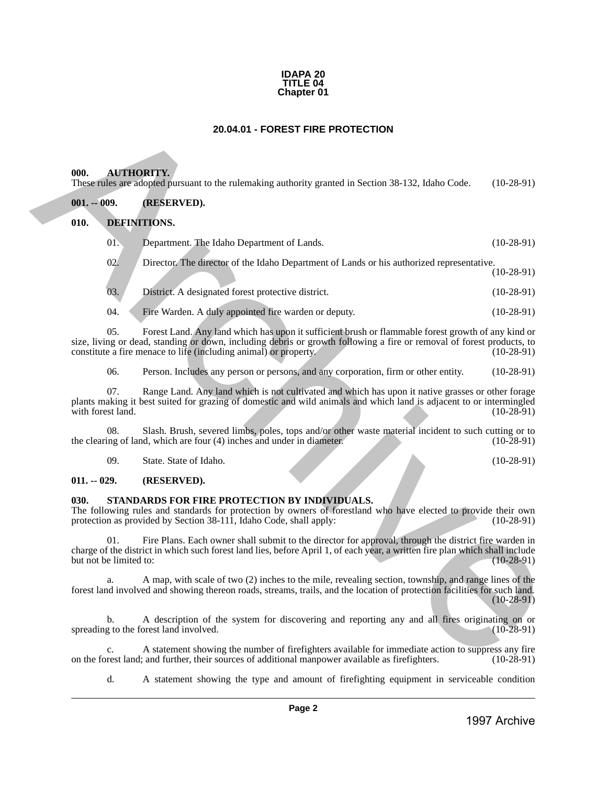#### **IDAPA 20 TITLE 04 Chapter 01**

# **20.04.01 - FOREST FIRE PROTECTION**

#### <span id="page-1-1"></span>**000. AUTHORITY.**

# <span id="page-1-3"></span><span id="page-1-2"></span>**010. DEFINITIONS.**

<span id="page-1-0"></span>

| 20.04.01 - FOREST FIRE PROTECTION |                                                                                                                                                                                                                                                                                                 |              |  |
|-----------------------------------|-------------------------------------------------------------------------------------------------------------------------------------------------------------------------------------------------------------------------------------------------------------------------------------------------|--------------|--|
| 000.                              | <b>AUTHORITY.</b>                                                                                                                                                                                                                                                                               |              |  |
| $001. - 009.$                     | These rules are adopted pursuant to the rulemaking authority granted in Section 38-132, Idaho Code.<br>(RESERVED).                                                                                                                                                                              | $(10-28-91)$ |  |
| 010.                              | DEFINITIONS.                                                                                                                                                                                                                                                                                    |              |  |
| 01.                               | Department. The Idaho Department of Lands.                                                                                                                                                                                                                                                      | $(10-28-91)$ |  |
| 02.                               | Director. The director of the Idaho Department of Lands or his authorized representative.                                                                                                                                                                                                       | $(10-28-91)$ |  |
| 03.                               | District. A designated forest protective district.                                                                                                                                                                                                                                              | $(10-28-91)$ |  |
| 04.                               | Fire Warden. A duly appointed fire warden or deputy.                                                                                                                                                                                                                                            | $(10-28-91)$ |  |
| 05.                               | Forest Land. Any land which has upon it sufficient brush or flammable forest growth of any kind or<br>size, living or dead, standing or down, including debris or growth following a fire or removal of forest products, to<br>constitute a fire menace to life (including animal) or property. | $(10-28-91)$ |  |
| 06.                               | Person. Includes any person or persons, and any corporation, firm or other entity.                                                                                                                                                                                                              | $(10-28-91)$ |  |
| 07.<br>with forest land.          | Range Land. Any land which is not cultivated and which has upon it native grasses or other forage<br>plants making it best suited for grazing of domestic and wild animals and which land is adjacent to or intermingled                                                                        | $(10-28-91)$ |  |
| 08.                               | Slash. Brush, severed limbs, poles, tops and/or other waste material incident to such cutting or to<br>the clearing of land, which are four (4) inches and under in diameter.                                                                                                                   | $(10-28-91)$ |  |
| 09.                               | State. State of Idaho.                                                                                                                                                                                                                                                                          | $(10-28-91)$ |  |
| $011. - 029.$                     | (RESERVED).                                                                                                                                                                                                                                                                                     |              |  |
| 030.                              | STANDARDS FOR FIRE PROTECTION BY INDIVIDUALS.<br>The following rules and standards for protection by owners of forestland who have elected to provide their own<br>protection as provided by Section 38-111, Idaho Code, shall apply:                                                           | $(10-28-91)$ |  |
| 01.<br>but not be limited to:     | Fire Plans. Each owner shall submit to the director for approval, through the district fire warden in<br>charge of the district in which such forest land lies, before April 1, of each year, a written fire plan which shall include                                                           | $(10-28-91)$ |  |
| a.                                | A map, with scale of two (2) inches to the mile, revealing section, township, and range lines of the<br>forest land involved and showing thereon roads, streams, trails, and the location of protection facilities for such land.                                                               | $(10-28-91)$ |  |
|                                   | A description of the system for discovering and reporting any and all fires originating on or<br>spreading to the forest land involved.                                                                                                                                                         | $(10-28-91)$ |  |
| b.                                |                                                                                                                                                                                                                                                                                                 |              |  |
| c.                                | A statement showing the number of firefighters available for immediate action to suppress any fire<br>on the forest land; and further, their sources of additional manpower available as firefighters.                                                                                          |              |  |
| d.                                | A statement showing the type and amount of firefighting equipment in serviceable condition                                                                                                                                                                                                      | $(10-28-91)$ |  |

# <span id="page-1-4"></span>**011. -- 029. (RESERVED).**

# <span id="page-1-5"></span>**030. STANDARDS FOR FIRE PROTECTION BY INDIVIDUALS.**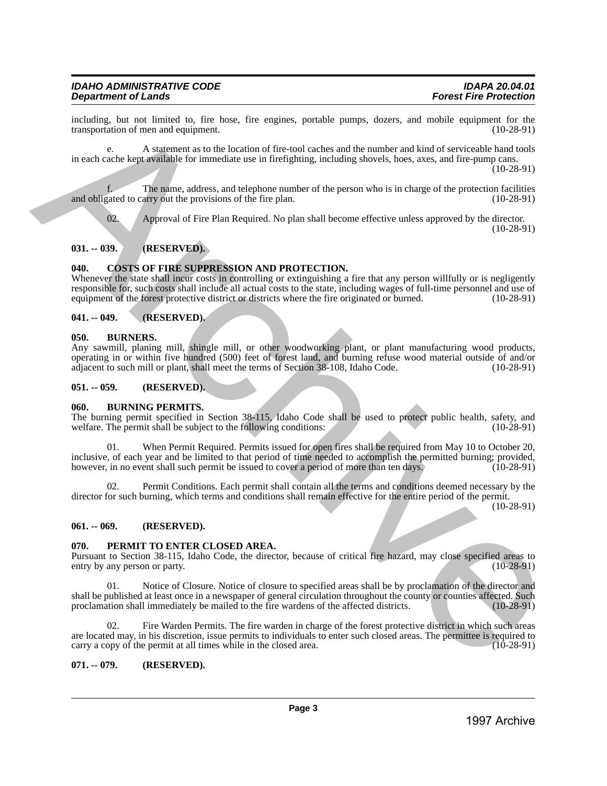including, but not limited to, fire hose, fire engines, portable pumps, dozers, and mobile equipment for the transportation of men and equipment.

e. A statement as to the location of fire-tool caches and the number and kind of serviceable hand tools in each cache kept available for immediate use in firefighting, including shovels, hoes, axes, and fire-pump cans.

(10-28-91)

The name, address, and telephone number of the person who is in charge of the protection facilities arry out the provisions of the fire plan. (10-28-91) and obligated to carry out the provisions of the fire plan.

02. Approval of Fire Plan Required. No plan shall become effective unless approved by the director. (10-28-91)

# <span id="page-2-0"></span>**031. -- 039. (RESERVED).**

#### <span id="page-2-1"></span>**040. COSTS OF FIRE SUPPRESSION AND PROTECTION.**

Whenever the state shall incur costs in controlling or extinguishing a fire that any person willfully or is negligently responsible for, such costs shall include all actual costs to the state, including wages of full-time personnel and use of equipment of the forest protective district or districts where the fire originated or burned. (10-28-91)

#### <span id="page-2-2"></span>**041. -- 049. (RESERVED).**

#### <span id="page-2-3"></span>**050. BURNERS.**

Any sawmill, planing mill, shingle mill, or other woodworking plant, or plant manufacturing wood products, operating in or within five hundred (500) feet of forest land, and burning refuse wood material outside of and/or adjacent to such mill or plant, shall meet the terms of Section 38-108, Idaho Code.

#### <span id="page-2-4"></span>**051. -- 059. (RESERVED).**

#### <span id="page-2-5"></span>**060. BURNING PERMITS.**

The burning permit specified in Section 38-115, Idaho Code shall be used to protect public health, safety, and welfare. The permit shall be subject to the following conditions: (10-28-91) welfare. The permit shall be subject to the following conditions:

01. When Permit Required. Permits issued for open fires shall be required from May 10 to October 20, inclusive, of each year and be limited to that period of time needed to accomplish the permitted burning; provided, however, in no event shall such permit be issued to cover a period of more than ten days. (10-28-91) however, in no event shall such permit be issued to cover a period of more than ten days. Including Ist and Limitation in the box, the explaint, perturb parapa, dues is and including interest in the experiment of the experiment of the experiment of the experiment of the experiment of the experiment of the expe

02. Permit Conditions. Each permit shall contain all the terms and conditions deemed necessary by the director for such burning, which terms and conditions shall remain effective for the entire period of the permit.

(10-28-91)

#### <span id="page-2-6"></span>**061. -- 069. (RESERVED).**

#### <span id="page-2-7"></span>**070. PERMIT TO ENTER CLOSED AREA.**

Pursuant to Section 38-115, Idaho Code, the director, because of critical fire hazard, may close specified areas to entry by any person or party.

Notice of Closure. Notice of closure to specified areas shall be by proclamation of the director and shall be published at least once in a newspaper of general circulation throughout the county or counties affected. Such proclamation shall immediately be mailed to the fire wardens of the affected districts. (10-28-91) proclamation shall immediately be mailed to the fire wardens of the affected districts.

Fire Warden Permits. The fire warden in charge of the forest protective district in which such areas are located may, in his discretion, issue permits to individuals to enter such closed areas. The permittee is required to carry a copy of the permit at all times while in the closed area.  $(10-28-91)$ carry a copy of the permit at all times while in the closed area.

#### <span id="page-2-8"></span>**071. -- 079. (RESERVED).**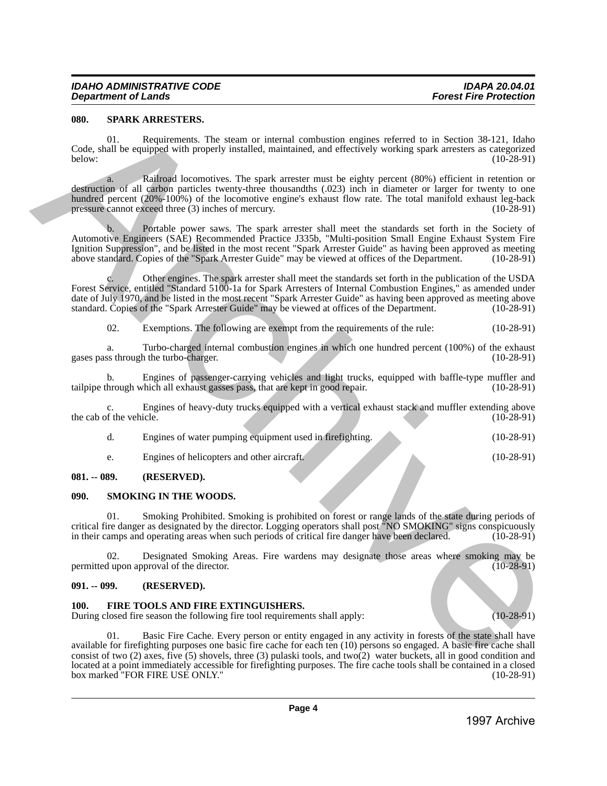#### <span id="page-3-0"></span>**080. SPARK ARRESTERS.**

01. Requirements. The steam or internal combustion engines referred to in Section 38-121, Idaho Code, shall be equipped with properly installed, maintained, and effectively working spark arresters as categorized below: (10-28-91)

a. Railroad locomotives. The spark arrester must be eighty percent (80%) efficient in retention or destruction of all carbon particles twenty-three thousandths (.023) inch in diameter or larger for twenty to one hundred percent (20%-100%) of the locomotive engine's exhaust flow rate. The total manifold exhaust leg-back pressure cannot exceed three (3) inches of mercury. (10-28-91)

b. Portable power saws. The spark arrester shall meet the standards set forth in the Society of Automotive Engineers (SAE) Recommended Practice J335b, "Multi-position Small Engine Exhaust System Fire Ignition Suppression", and be listed in the most recent "Spark Arrester Guide" as having been approved as meeting above standard. Copies of the "Spark Arrester Guide" may be viewed at offices of the Department. (10-28-91)

Other engines. The spark arrester shall meet the standards set forth in the publication of the USDA Forest Service, entitled "Standard 5100-1a for Spark Arresters of Internal Combustion Engines," as amended under date of July 1970, and be listed in the most recent "Spark Arrester Guide" as having been approved as meeting above standard. Copies of the "Spark Arrester Guide" may be viewed at offices of the Department. (10-28-91) standard. Copies of the "Spark Arrester Guide" may be viewed at offices of the Department.

02. Exemptions. The following are exempt from the requirements of the rule: (10-28-91)

a. Turbo-charged internal combustion engines in which one hundred percent (100%) of the exhaust ss through the turbo-charger. (100%) gases pass through the turbo-charger.

b. Engines of passenger-carrying vehicles and light trucks, equipped with baffle-type muffler and hrough which all exhaust gasses pass, that are kept in good repair. (10-28-91) tailpipe through which all exhaust gasses pass, that are kept in good repair.

Engines of heavy-duty trucks equipped with a vertical exhaust stack and muffler extending above icle. (10-28-91) the cab of the vehicle.

| Engines of water pumping equipment used in firefighting. | $(10-28-91)$ |
|----------------------------------------------------------|--------------|
| Engines of helicopters and other aircraft.               | $(10-28-91)$ |

#### <span id="page-3-1"></span>**081. -- 089. (RESERVED).**

#### <span id="page-3-2"></span>**090. SMOKING IN THE WOODS.**

Smoking Prohibited. Smoking is prohibited on forest or range lands of the state during periods of critical fire danger as designated by the director. Logging operators shall post "NO SMOKING" signs conspicuously in their camps and operating areas when such periods of critical fire danger have been declared.

02. Designated Smoking Areas. Fire wardens may designate those areas where smoking may be dupon approval of the director. (10-28-91) permitted upon approval of the director.

#### <span id="page-3-3"></span>**091. -- 099. (RESERVED).**

#### <span id="page-3-4"></span>**100. FIRE TOOLS AND FIRE EXTINGUISHERS.**

During closed fire season the following fire tool requirements shall apply: (10-28-91)

01. Basic Fire Cache. Every person or entity engaged in any activity in forests of the state shall have available for firefighting purposes one basic fire cache for each ten (10) persons so engaged. A basic fire cache shall consist of two (2) axes, five (5) shovels, three (3) pulaski tools, and two(2) water buckets, all in good condition and located at a point immediately accessible for firefighting purposes. The fire cache tools shall be contained in a closed box marked "FOR FIRE USE ONLY." **999.** SCHAR MARIESTERIES. The steam of internal conduction excites the material entropy is a steamed of the steam of the steam of the steam of the steam of the steam of the steam of the steam of the steam of the steam o